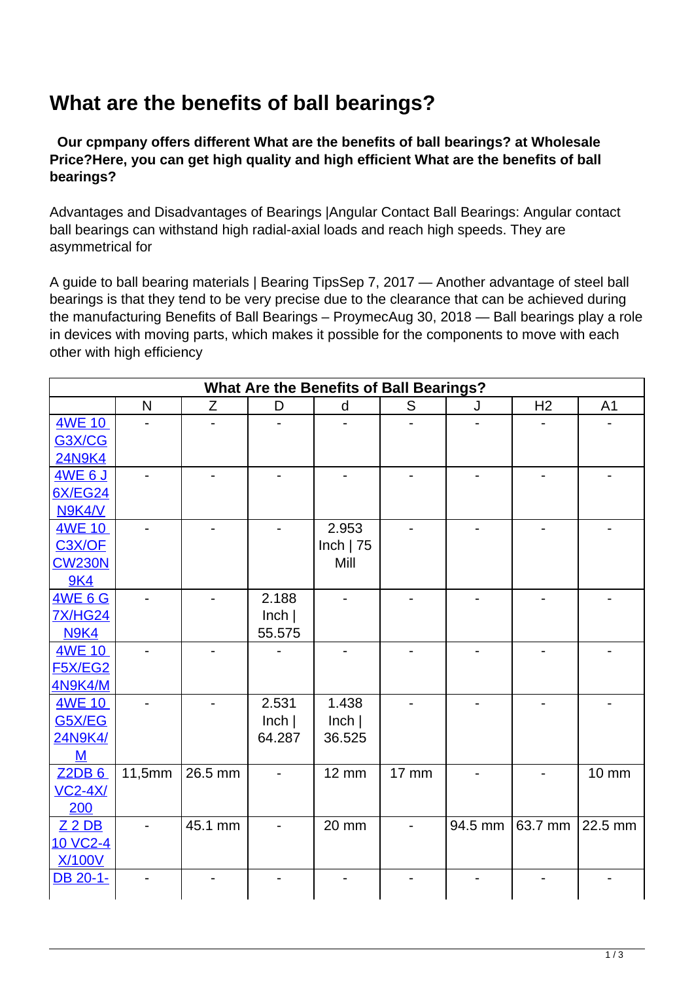## **What are the benefits of ball bearings?**

 **Our cpmpany offers different What are the benefits of ball bearings? at Wholesale Price?Here, you can get high quality and high efficient What are the benefits of ball bearings?**

Advantages and Disadvantages of Bearings |Angular Contact Ball Bearings: Angular contact ball bearings can withstand high radial-axial loads and reach high speeds. They are asymmetrical for

A guide to ball bearing materials | Bearing TipsSep 7, 2017 — Another advantage of steel ball bearings is that they tend to be very precise due to the clearance that can be achieved during the manufacturing Benefits of Ball Bearings – ProymecAug 30, 2018 — Ball bearings play a role in devices with moving parts, which makes it possible for the components to move with each other with high efficiency

|                |        |         |        | <b>What Are the Benefits of Ball Bearings?</b> |              |         |                |                |
|----------------|--------|---------|--------|------------------------------------------------|--------------|---------|----------------|----------------|
|                | N      | Z       | D      | d                                              | S            | J       | H <sub>2</sub> | A <sub>1</sub> |
| <b>4WE 10</b>  |        |         |        |                                                |              |         |                |                |
| G3X/CG         |        |         |        |                                                |              |         |                |                |
| <b>24N9K4</b>  |        |         |        |                                                |              |         |                |                |
| <b>4WE 6 J</b> |        |         |        |                                                |              |         |                |                |
| <b>6X/EG24</b> |        |         |        |                                                |              |         |                |                |
| N9K4/V         |        |         |        |                                                |              |         |                |                |
| 4WE 10         |        |         |        | 2.953                                          |              |         |                |                |
| C3X/OF         |        |         |        | Inch $ 75$                                     |              |         |                |                |
| <b>CW230N</b>  |        |         |        | Mill                                           |              |         |                |                |
| <b>9K4</b>     |        |         |        |                                                |              |         |                |                |
| <b>4WE 6 G</b> |        |         | 2.188  |                                                |              |         |                |                |
| <b>7X/HG24</b> |        |         | lnch   |                                                |              |         |                |                |
| <b>N9K4</b>    |        |         | 55.575 |                                                |              |         |                |                |
| <b>4WE 10</b>  |        |         |        |                                                |              |         |                |                |
| <b>F5X/EG2</b> |        |         |        |                                                |              |         |                |                |
| <b>4N9K4/M</b> |        |         |        |                                                |              |         |                |                |
| 4WE 10         |        |         | 2.531  | 1.438                                          |              |         |                |                |
| <b>G5X/EG</b>  |        |         | lnch   | lnch                                           |              |         |                |                |
| 24N9K4/        |        |         | 64.287 | 36.525                                         |              |         |                |                |
| M              |        |         |        |                                                |              |         |                |                |
| Z2DB6          | 11,5mm | 26.5 mm |        | <b>12 mm</b>                                   | <b>17 mm</b> |         |                | <b>10 mm</b>   |
| <b>VC2-4X/</b> |        |         |        |                                                |              |         |                |                |
| 200            |        |         |        |                                                |              |         |                |                |
| $Z$ 2 DB       |        | 45.1 mm |        | 20 mm                                          |              | 94.5 mm | 63.7 mm        | 22.5 mm        |
| 10 VC2-4       |        |         |        |                                                |              |         |                |                |
| <b>X/100V</b>  |        |         |        |                                                |              |         |                |                |
| DB 20-1-       |        |         |        |                                                |              |         |                |                |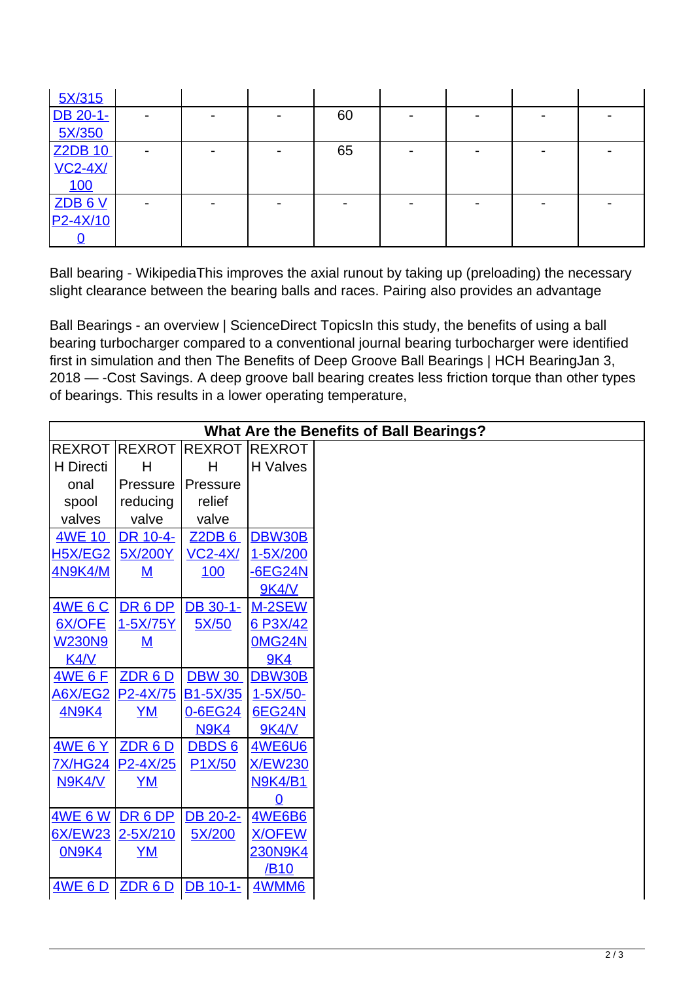| 5X/315         |  |    |  |  |
|----------------|--|----|--|--|
| DB 20-1-       |  | 60 |  |  |
| 5X/350         |  |    |  |  |
| Z2DB 10        |  | 65 |  |  |
| <b>VC2-4X/</b> |  |    |  |  |
| 100            |  |    |  |  |
| <b>ZDB6V</b>   |  |    |  |  |
| $P2 - 4X/10$   |  |    |  |  |
|                |  |    |  |  |

Ball bearing - WikipediaThis improves the axial runout by taking up (preloading) the necessary slight clearance between the bearing balls and races. Pairing also provides an advantage

Ball Bearings - an overview | ScienceDirect TopicsIn this study, the benefits of using a ball bearing turbocharger compared to a conventional journal bearing turbocharger were identified first in simulation and then The Benefits of Deep Groove Ball Bearings | HCH BearingJan 3, 2018 — -Cost Savings. A deep groove ball bearing creates less friction torque than other types of bearings. This results in a lower operating temperature,

|                      |                          |                      |                 | <b>What Are the Benefits of Ball Bearings?</b> |
|----------------------|--------------------------|----------------------|-----------------|------------------------------------------------|
| <b>REXROT REXROT</b> |                          | <b>REXROT REXROT</b> |                 |                                                |
| H Directi            | H                        | H                    | <b>H</b> Valves |                                                |
| onal                 | Pressure                 | Pressure             |                 |                                                |
| spool                | reducing                 | relief               |                 |                                                |
| valves               | valve                    | valve                |                 |                                                |
| 4WE 10               | DR 10-4-                 | Z2DB6                | DBW30B          |                                                |
| <b>H5X/EG2</b>       | 5X/200Y                  | $VC2-4X/$            | 1-5X/200        |                                                |
| <b>4N9K4/M</b>       | M                        | 100                  | <b>-6EG24N</b>  |                                                |
|                      |                          |                      | <b>9K4/V</b>    |                                                |
| <b>4WE 6 C</b>       | DR 6 DP                  | DB 30-1-             | M-2SEW          |                                                |
| 6X/OFE               | 1-5X/75Y                 | 5X/50                | 6 P3X/42        |                                                |
| <b>W230N9</b>        | $\underline{\mathsf{M}}$ |                      | <b>0MG24N</b>   |                                                |
| K4/V                 |                          |                      | <b>9K4</b>      |                                                |
| <b>4WE6F</b>         | ZDR 6D                   | <b>DBW 30</b>        | DBW30B          |                                                |
| <b>A6X/EG2</b>       | P2-4X/75                 | <b>B1-5X/35</b>      | $1 - 5X/50 -$   |                                                |
| <b>4N9K4</b>         | $YM$                     | 0-6EG24              | <b>6EG24N</b>   |                                                |
|                      |                          | <b>N9K4</b>          | <b>9K4/V</b>    |                                                |
| <u>4WE 6 Y</u>       | ZDR 6D                   | <b>DBDS6</b>         | <b>4WE6U6</b>   |                                                |
|                      | <u>7X/HG24</u> P2-4X/25  | P <sub>1</sub> X/50  | <b>X/EW230</b>  |                                                |
| N9K4/V               | $YM$                     |                      | <b>N9K4/B1</b>  |                                                |
|                      |                          |                      | $\Omega$        |                                                |
| <b>4WE 6 W</b>       | DR 6 DP                  | DB 20-2-             | <b>4WE6B6</b>   |                                                |
| <b>6X/EW23</b>       | $2 - 5X/210$             | 5X/200               | <b>X/OFEW</b>   |                                                |
| <b>ON9K4</b>         | $YM$                     |                      | 230N9K4         |                                                |
|                      |                          |                      | /B10            |                                                |
| 4WE 6 D              | ZDR 6 D                  | DB 10-1-             | 4WMM6           |                                                |